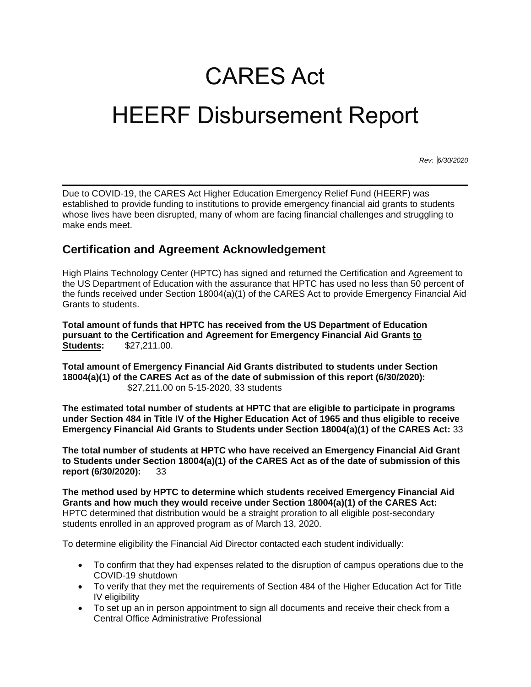## CARES Act HEERF Disbursement Report

*Rev: 6/30/2020*

Due to COVID-19, the CARES Act Higher Education Emergency Relief Fund (HEERF) was established to provide funding to institutions to provide emergency financial aid grants to students whose lives have been disrupted, many of whom are facing financial challenges and struggling to make ends meet.

## **Certification and Agreement Acknowledgement**

High Plains Technology Center (HPTC) has signed and returned the Certification and Agreement to the US Department of Education with the assurance that HPTC has used no less than 50 percent of the funds received under Section 18004(a)(1) of the CARES Act to provide Emergency Financial Aid Grants to students.

**Total amount of funds that HPTC has received from the US Department of Education pursuant to the Certification and Agreement for Emergency Financial Aid Grants to Students:** \$27,211.00.

**Total amount of Emergency Financial Aid Grants distributed to students under Section 18004(a)(1) of the CARES Act as of the date of submission of this report (6/30/2020):**  \$27,211.00 on 5-15-2020, 33 students

**The estimated total number of students at HPTC that are eligible to participate in programs under Section 484 in Title IV of the Higher Education Act of 1965 and thus eligible to receive Emergency Financial Aid Grants to Students under Section 18004(a)(1) of the CARES Act:** 33

**The total number of students at HPTC who have received an Emergency Financial Aid Grant to Students under Section 18004(a)(1) of the CARES Act as of the date of submission of this report (6/30/2020):** 33

**The method used by HPTC to determine which students received Emergency Financial Aid Grants and how much they would receive under Section 18004(a)(1) of the CARES Act:** HPTC determined that distribution would be a straight proration to all eligible post-secondary students enrolled in an approved program as of March 13, 2020.

To determine eligibility the Financial Aid Director contacted each student individually:

- To confirm that they had expenses related to the disruption of campus operations due to the COVID-19 shutdown
- To verify that they met the requirements of Section 484 of the Higher Education Act for Title IV eligibility
- To set up an in person appointment to sign all documents and receive their check from a Central Office Administrative Professional